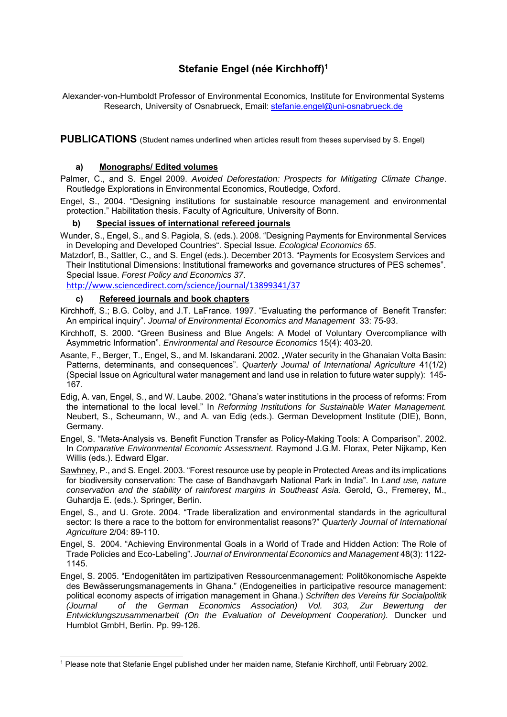# **Stefanie Engel (née Kirchhoff)1**

Alexander-von-Humboldt Professor of Environmental Economics, Institute for Environmental Systems Research, University of Osnabrueck, Email: stefanie.engel@uni-osnabrueck.de

**PUBLICATIONS** (Student names underlined when articles result from theses supervised by S. Engel)

# **a) Monographs/ Edited volumes**

Palmer, C., and S. Engel 2009. *Avoided Deforestation: Prospects for Mitigating Climate Change*. Routledge Explorations in Environmental Economics, Routledge, Oxford.

Engel, S., 2004. "Designing institutions for sustainable resource management and environmental protection." Habilitation thesis. Faculty of Agriculture, University of Bonn.

# **b) Special issues of international refereed journals**

Wunder, S., Engel, S., and S. Pagiola, S. (eds.). 2008. "Designing Payments for Environmental Services in Developing and Developed Countries". Special Issue. *Ecological Economics 65*.

Matzdorf, B., Sattler, C., and S. Engel (eds.). December 2013. "Payments for Ecosystem Services and Their Institutional Dimensions: Institutional frameworks and governance structures of PES schemes". Special Issue. *Forest Policy and Economics 37*.

http://www.sciencedirect.com/science/journal/13899341/37

# **c) Refereed journals and book chapters**

 $\overline{a}$ 

Kirchhoff, S.; B.G. Colby, and J.T. LaFrance. 1997. "Evaluating the performance of Benefit Transfer: An empirical inquiry". *Journal of Environmental Economics and Management* 33: 75-93.

- Kirchhoff, S. 2000. "Green Business and Blue Angels: A Model of Voluntary Overcompliance with Asymmetric Information". *Environmental and Resource Economics* 15(4): 403-20.
- Asante, F., Berger, T., Engel, S., and M. Iskandarani. 2002. "Water security in the Ghanaian Volta Basin: Patterns, determinants, and consequences". *Quarterly Journal of International Agriculture* 41(1/2) (Special Issue on Agricultural water management and land use in relation to future water supply): 145- 167.
- Edig, A. van, Engel, S., and W. Laube. 2002. "Ghana's water institutions in the process of reforms: From the international to the local level." In *Reforming Institutions for Sustainable Water Management.* Neubert, S., Scheumann, W., and A. van Edig (eds.). German Development Institute (DIE), Bonn, Germany.
- Engel, S. "Meta-Analysis vs. Benefit Function Transfer as Policy-Making Tools: A Comparison". 2002. In *Comparative Environmental Economic Assessment.* Raymond J.G.M. Florax, Peter Nijkamp, Ken Willis (eds.). Edward Elgar.
- Sawhney, P., and S. Engel. 2003. "Forest resource use by people in Protected Areas and its implications for biodiversity conservation: The case of Bandhavgarh National Park in India". In *Land use, nature conservation and the stability of rainforest margins in Southeast Asia*. Gerold, G., Fremerey, M., Guhardja E. (eds.). Springer, Berlin.

Engel, S., and U. Grote. 2004. "Trade liberalization and environmental standards in the agricultural sector: Is there a race to the bottom for environmentalist reasons?" *Quarterly Journal of International Agriculture* 2/04: 89-110.

- Engel, S. 2004. "Achieving Environmental Goals in a World of Trade and Hidden Action: The Role of Trade Policies and Eco-Labeling". *Journal of Environmental Economics and Management* 48(3): 1122- 1145.
- Engel, S. 2005. "Endogenitäten im partizipativen Ressourcenmanagement: Politökonomische Aspekte des Bewässerungsmanagements in Ghana." (Endogeneities in participative resource management: political economy aspects of irrigation management in Ghana.) *Schriften des Vereins für Socialpolitik (Journal of the German Economics Association) Vol. 303, Zur Bewertung der Entwicklungszusammenarbeit (On the Evaluation of Development Cooperation).* Duncker und Humblot GmbH, Berlin. Pp. 99-126.

<sup>1</sup> Please note that Stefanie Engel published under her maiden name, Stefanie Kirchhoff, until February 2002.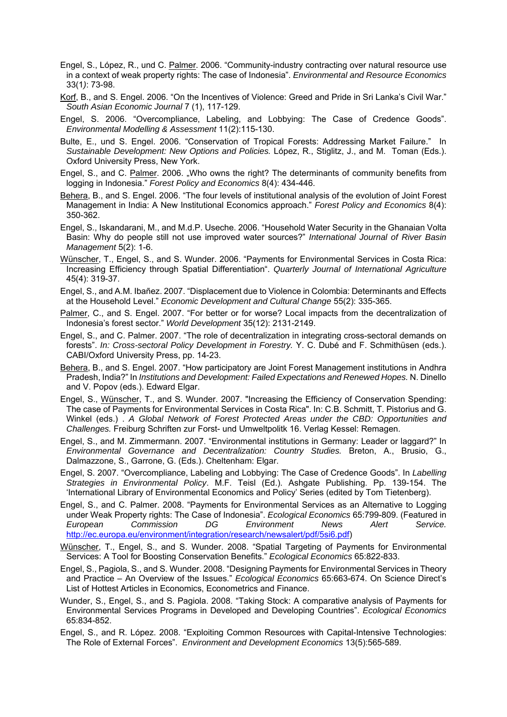- Engel, S., López, R., und C. Palmer. 2006. "Community-industry contracting over natural resource use in a context of weak property rights: The case of Indonesia". *Environmental and Resource Economics*  33(1*)*: 73-98.
- Korf, B., and S. Engel. 2006. "On the Incentives of Violence: Greed and Pride in Sri Lanka's Civil War." *South Asian Economic Journal* 7 (1), 117-129.
- Engel, S. 2006. "Overcompliance, Labeling, and Lobbying: The Case of Credence Goods". *Environmental Modelling & Assessment* 11(2):115-130.
- Bulte, E., und S. Engel. 2006. "Conservation of Tropical Forests: Addressing Market Failure." In *Sustainable Development: New Options and Policies.* López, R., Stiglitz, J., and M. Toman (Eds.). Oxford University Press, New York.
- Engel, S., and C. Palmer. 2006. "Who owns the right? The determinants of community benefits from logging in Indonesia." *Forest Policy and Economics* 8(4): 434-446.
- Behera, B., and S. Engel. 2006. "The four levels of institutional analysis of the evolution of Joint Forest Management in India: A New Institutional Economics approach." *Forest Policy and Economics* 8(4): 350-362.
- Engel, S., Iskandarani, M., and M.d.P. Useche. 2006. "Household Water Security in the Ghanaian Volta Basin: Why do people still not use improved water sources?" *International Journal of River Basin Management* 5(2): 1-6.
- Wünscher, T., Engel, S., and S. Wunder. 2006. "Payments for Environmental Services in Costa Rica: Increasing Efficiency through Spatial Differentiation". *Quarterly Journal of International Agriculture* 45(4): 319-37.
- Engel, S., and A.M. Ibañez. 2007. "Displacement due to Violence in Colombia: Determinants and Effects at the Household Level." *Economic Development and Cultural Change* 55(2): 335-365.
- Palmer, C., and S. Engel. 2007. "For better or for worse? Local impacts from the decentralization of Indonesia's forest sector." *World Development* 35(12): 2131-2149.
- Engel, S., and C. Palmer. 2007. "The role of decentralization in integrating cross-sectoral demands on forests". *In: Cross-sectoral Policy Development in Forestry.* Y. C. Dubé and F. Schmithüsen (eds.). CABI/Oxford University Press, pp. 14-23.
- Behera, B., and S. Engel. 2007. "How participatory are Joint Forest Management institutions in Andhra Pradesh, India?" In *Institutions and Development: Failed Expectations and Renewed Hopes.* N. Dinello and V. Popov (eds.). Edward Elgar.
- Engel, S., Wünscher, T., and S. Wunder. 2007. "Increasing the Efficiency of Conservation Spending: The case of Payments for Environmental Services in Costa Rica". In: C.B. Schmitt, T. Pistorius and G. Winkel (eds.) . *A Global Network of Forest Protected Areas under the CBD: Opportunities and Challenges.* Freiburg Schriften zur Forst- und Umweltpolitk 16. Verlag Kessel: Remagen.
- Engel, S., and M. Zimmermann. 2007. "Environmental institutions in Germany: Leader or laggard?" In *Environmental Governance and Decentralization: Country Studies.* Breton, A., Brusio, G., Dalmazzone, S., Garrone, G. (Eds.). Cheltenham: Elgar.
- Engel, S. 2007. "Overcompliance, Labeling and Lobbying: The Case of Credence Goods". In *Labelling Strategies in Environmental Policy*. M.F. Teisl (Ed.). Ashgate Publishing. Pp. 139-154. The 'International Library of Environmental Economics and Policy' Series (edited by Tom Tietenberg).
- Engel, S., and C. Palmer. 2008. "Payments for Environmental Services as an Alternative to Logging under Weak Property rights: The Case of Indonesia". *Ecological Economics* 65:799-809. (Featured in *European Commission DG Environment News Alert Service.*  http://ec.europa.eu/environment/integration/research/newsalert/pdf/5si6.pdf)
- Wünscher, T., Engel, S., and S. Wunder. 2008. "Spatial Targeting of Payments for Environmental Services: A Tool for Boosting Conservation Benefits." *Ecological Economics* 65:822-833.
- Engel, S., Pagiola, S., and S. Wunder. 2008. "Designing Payments for Environmental Services in Theory and Practice – An Overview of the Issues." *Ecological Economics* 65:663-674. On Science Direct's List of Hottest Articles in Economics, Econometrics and Finance.
- Wunder, S., Engel, S., and S. Pagiola. 2008. "Taking Stock: A comparative analysis of Payments for Environmental Services Programs in Developed and Developing Countries". *Ecological Economics*  65:834-852.
- Engel, S., and R. López. 2008. "Exploiting Common Resources with Capital-Intensive Technologies: The Role of External Forces". *Environment and Development Economics* 13(5):565-589.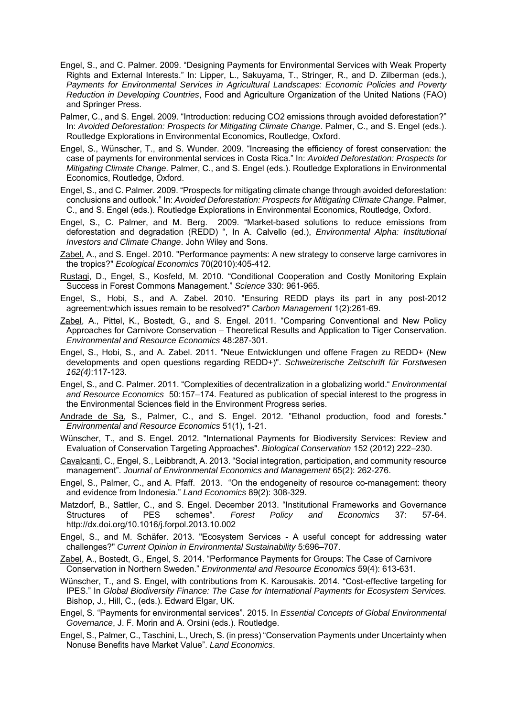Engel, S., and C. Palmer. 2009. "Designing Payments for Environmental Services with Weak Property Rights and External Interests." In: Lipper, L., Sakuyama, T., Stringer, R., and D. Zilberman (eds.), *Payments for Environmental Services in Agricultural Landscapes: Economic Policies and Poverty Reduction in Developing Countries*, Food and Agriculture Organization of the United Nations (FAO) and Springer Press.

Palmer, C., and S. Engel. 2009. "Introduction: reducing CO2 emissions through avoided deforestation?" In: *Avoided Deforestation: Prospects for Mitigating Climate Change*. Palmer, C., and S. Engel (eds.). Routledge Explorations in Environmental Economics, Routledge, Oxford.

- Engel, S., Wünscher, T., and S. Wunder. 2009. "Increasing the efficiency of forest conservation: the case of payments for environmental services in Costa Rica." In: *Avoided Deforestation: Prospects for Mitigating Climate Change*. Palmer, C., and S. Engel (eds.). Routledge Explorations in Environmental Economics, Routledge, Oxford.
- Engel, S., and C. Palmer. 2009. "Prospects for mitigating climate change through avoided deforestation: conclusions and outlook." In: *Avoided Deforestation: Prospects for Mitigating Climate Change*. Palmer, C., and S. Engel (eds.). Routledge Explorations in Environmental Economics, Routledge, Oxford.
- Engel, S., C. Palmer, and M. Berg. 2009. "Market-based solutions to reduce emissions from deforestation and degradation (REDD) ", In A. Calvello (ed.), *Environmental Alpha: Institutional Investors and Climate Change*. John Wiley and Sons.
- Zabel, A., and S. Engel. 2010. "Performance payments: A new strategy to conserve large carnivores in the tropics?" *Ecological Economics* 70(2010):405-412.
- Rustagi, D., Engel, S., Kosfeld, M. 2010. "Conditional Cooperation and Costly Monitoring Explain Success in Forest Commons Management." *Science* 330: 961-965.
- Engel, S., Hobi, S., and A. Zabel. 2010. "Ensuring REDD plays its part in any post-2012 agreement:which issues remain to be resolved?" *Carbon Management* 1(2):261-69.
- Zabel, A., Pittel, K., Bostedt, G., and S. Engel. 2011. "Comparing Conventional and New Policy Approaches for Carnivore Conservation – Theoretical Results and Application to Tiger Conservation. *Environmental and Resource Economics* 48:287-301.
- Engel, S., Hobi, S., and A. Zabel. 2011. "Neue Entwicklungen und offene Fragen zu REDD+ (New developments and open questions regarding REDD+)". *Schweizerische Zeitschrift für Forstwesen 162(4)*:117-123.
- Engel, S., and C. Palmer. 2011. "Complexities of decentralization in a globalizing world." *Environmental and Resource Economics* 50:157–174. Featured as publication of special interest to the progress in the Environmental Sciences field in the Environment Progress series.
- Andrade de Sa, S., Palmer, C., and S. Engel. 2012. "Ethanol production, food and forests." *Environmental and Resource Economics* 51(1), 1-21.
- Wünscher, T., and S. Engel. 2012. "International Payments for Biodiversity Services: Review and Evaluation of Conservation Targeting Approaches". *Biological Conservation* 152 (2012) 222–230.
- Cavalcanti, C., Engel, S., Leibbrandt, A. 2013. "Social integration, participation, and community resource management". *Journal of Environmental Economics and Management* 65(2): 262-276.
- Engel, S., Palmer, C., and A. Pfaff. 2013. "On the endogeneity of resource co-management: theory and evidence from Indonesia." *Land Economics* 89(2): 308-329.
- Matzdorf, B., Sattler, C., and S. Engel. December 2013. "Institutional Frameworks and Governance Structures of PES schemes". *Forest Policy and Economics* 37: 57-64. http://dx.doi.org/10.1016/j.forpol.2013.10.002
- Engel, S., and M. Schäfer. 2013. "Ecosystem Services A useful concept for addressing water challenges?" *Current Opinion in Environmental Sustainability* 5:696–707.
- Zabel, A., Bostedt, G., Engel, S. 2014. "Performance Payments for Groups: The Case of Carnivore Conservation in Northern Sweden." *Environmental and Resource Economics* 59(4): 613-631.
- Wünscher, T., and S. Engel, with contributions from K. Karousakis. 2014. "Cost-effective targeting for IPES." In *Global Biodiversity Finance: The Case for International Payments for Ecosystem Services.* Bishop, J., Hill, C., (eds.). Edward Elgar, UK.
- Engel, S. "Payments for environmental services". 2015. In *Essential Concepts of Global Environmental Governance*, J. F. Morin and A. Orsini (eds.). Routledge.
- Engel, S., Palmer, C., Taschini, L., Urech, S. (in press) "Conservation Payments under Uncertainty when Nonuse Benefits have Market Value". *Land Economics*.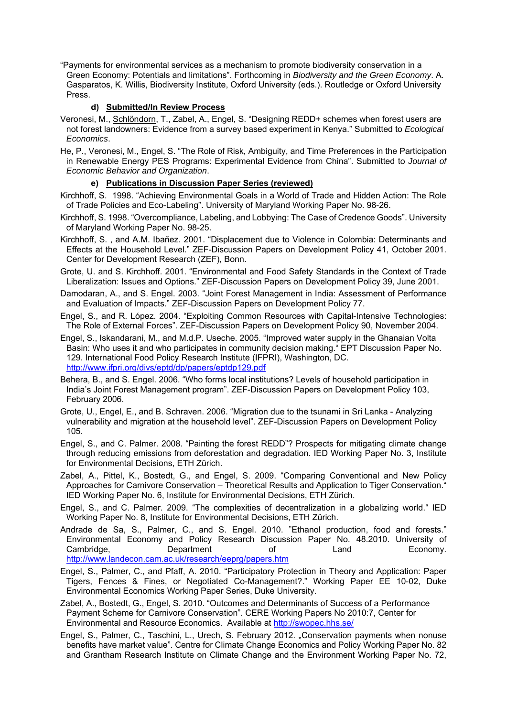"Payments for environmental services as a mechanism to promote biodiversity conservation in a Green Economy: Potentials and limitations". Forthcoming in *Biodiversity and the Green Economy*. A. Gasparatos, K. Willis, Biodiversity Institute, Oxford University (eds.). Routledge or Oxford University Press.

# **d) Submitted/In Review Process**

Veronesi, M., Schlöndorn, T., Zabel, A., Engel, S. "Designing REDD+ schemes when forest users are not forest landowners: Evidence from a survey based experiment in Kenya." Submitted to *Ecological Economics*.

He, P., Veronesi, M., Engel, S. "The Role of Risk, Ambiguity, and Time Preferences in the Participation in Renewable Energy PES Programs: Experimental Evidence from China". Submitted to *Journal of Economic Behavior and Organization*.

# **e) Publications in Discussion Paper Series (reviewed)**

Kirchhoff, S. 1998. "Achieving Environmental Goals in a World of Trade and Hidden Action: The Role of Trade Policies and Eco-Labeling". University of Maryland Working Paper No. 98-26.

- Kirchhoff, S. 1998. "Overcompliance, Labeling, and Lobbying: The Case of Credence Goods". University of Maryland Working Paper No. 98-25.
- Kirchhoff, S. , and A.M. Ibañez. 2001. "Displacement due to Violence in Colombia: Determinants and Effects at the Household Level." ZEF-Discussion Papers on Development Policy 41, October 2001. Center for Development Research (ZEF), Bonn.
- Grote, U. and S. Kirchhoff. 2001. "Environmental and Food Safety Standards in the Context of Trade Liberalization: Issues and Options." ZEF-Discussion Papers on Development Policy 39, June 2001.
- Damodaran, A., and S. Engel. 2003. "Joint Forest Management in India: Assessment of Performance and Evaluation of Impacts." ZEF-Discussion Papers on Development Policy 77.

Engel, S., and R. López. 2004. "Exploiting Common Resources with Capital-Intensive Technologies: The Role of External Forces". ZEF-Discussion Papers on Development Policy 90, November 2004.

- Engel, S., Iskandarani, M., and M.d.P. Useche. 2005. "Improved water supply in the Ghanaian Volta Basin: Who uses it and who participates in community decision making." EPT Discussion Paper No. 129. International Food Policy Research Institute (IFPRI), Washington, DC. http://www.ifpri.org/divs/eptd/dp/papers/eptdp129.pdf
- Behera, B., and S. Engel. 2006. "Who forms local institutions? Levels of household participation in India's Joint Forest Management program". ZEF-Discussion Papers on Development Policy 103, February 2006.
- Grote, U., Engel, E., and B. Schraven. 2006. "Migration due to the tsunami in Sri Lanka Analyzing vulnerability and migration at the household level". ZEF-Discussion Papers on Development Policy 105.
- Engel, S., and C. Palmer. 2008. "Painting the forest REDD"? Prospects for mitigating climate change through reducing emissions from deforestation and degradation. IED Working Paper No. 3, Institute for Environmental Decisions, ETH Zürich.
- Zabel, A., Pittel, K., Bostedt, G., and Engel, S. 2009. "Comparing Conventional and New Policy Approaches for Carnivore Conservation – Theoretical Results and Application to Tiger Conservation." IED Working Paper No. 6, Institute for Environmental Decisions, ETH Zürich.

Engel, S., and C. Palmer. 2009. "The complexities of decentralization in a globalizing world." IED Working Paper No. 8, Institute for Environmental Decisions, ETH Zürich.

- Andrade de Sa, S., Palmer, C., and S. Engel. 2010. "Ethanol production, food and forests." Environmental Economy and Policy Research Discussion Paper No. 48.2010. University of Cambridge, Cambridge, Department of Land Economy. http://www.landecon.cam.ac.uk/research/eeprg/papers.htm
- Engel, S., Palmer, C., and Pfaff, A. 2010. "Participatory Protection in Theory and Application: Paper Tigers, Fences & Fines, or Negotiated Co-Management?." Working Paper EE 10-02, Duke Environmental Economics Working Paper Series, Duke University.
- Zabel, A., Bostedt, G., Engel, S. 2010. "Outcomes and Determinants of Success of a Performance Payment Scheme for Carnivore Conservation". CERE Working Papers No 2010:7, Center for Environmental and Resource Economics. Available at http://swopec.hhs.se/
- Engel, S., Palmer, C., Taschini, L., Urech, S. February 2012. "Conservation payments when nonuse benefits have market value". Centre for Climate Change Economics and Policy Working Paper No. 82 and Grantham Research Institute on Climate Change and the Environment Working Paper No. 72,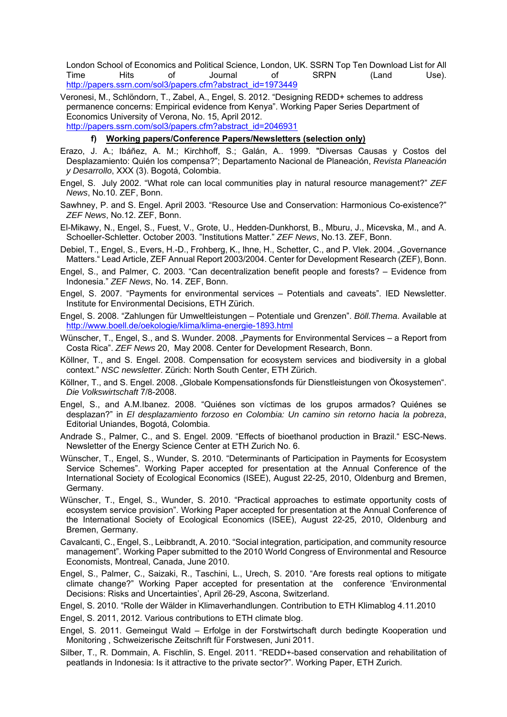London School of Economics and Political Science, London, UK. SSRN Top Ten Download List for All Time Hits of Journal of SRPN (Land Use). http://papers.ssrn.com/sol3/papers.cfm?abstract\_id=1973449

Veronesi, M., Schlöndorn, T., Zabel, A., Engel, S. 2012. "Designing REDD+ schemes to address permanence concerns: Empirical evidence from Kenya". Working Paper Series Department of Economics University of Verona, No. 15, April 2012. http://papers.ssrn.com/sol3/papers.cfm?abstract\_id=2046931

#### **f) Working papers/Conference Papers/Newsletters (selection only)**

- Erazo, J. A.; Ibáñez, A. M.; Kirchhoff, S.; Galán, A.. 1999. "Diversas Causas y Costos del Desplazamiento: Quién los compensa?"; Departamento Nacional de Planeación, *Revista Planeación y Desarrollo*, XXX (3). Bogotá, Colombia.
- Engel, S. July 2002. "What role can local communities play in natural resource management?" *ZEF News*, No.10. ZEF, Bonn.
- Sawhney, P. and S. Engel. April 2003. "Resource Use and Conservation: Harmonious Co-existence?" *ZEF News*, No.12. ZEF, Bonn.
- El-Mikawy, N., Engel, S., Fuest, V., Grote, U., Hedden-Dunkhorst, B., Mburu, J., Micevska, M., and A. Schoeller-Schletter. October 2003. "Institutions Matter." *ZEF News*, No.13. ZEF, Bonn.
- Debiel, T., Engel, S., Evers, H.-D., Frohberg, K., Ihne, H., Schetter, C., and P. Vlek. 2004. "Governance Matters." Lead Article, ZEF Annual Report 2003/2004. Center for Development Research (ZEF), Bonn.
- Engel, S., and Palmer, C. 2003. "Can decentralization benefit people and forests? Evidence from Indonesia." *ZEF News*, No. 14. ZEF, Bonn.
- Engel, S. 2007. "Payments for environmental services Potentials and caveats". IED Newsletter. Institute for Environmental Decisions, ETH Zürich.
- Engel, S. 2008. "Zahlungen für Umweltleistungen Potentiale und Grenzen". *Böll.Thema*. Available at http://www.boell.de/oekologie/klima/klima-energie-1893.html
- Wünscher, T., Engel, S., and S. Wunder. 2008. "Payments for Environmental Services a Report from Costa Rica". *ZEF News* 20, May 2008. Center for Development Research, Bonn.
- Köllner, T., and S. Engel. 2008. Compensation for ecosystem services and biodiversity in a global context." *NSC newsletter*. Zürich: North South Center, ETH Zürich.
- Köllner, T., and S. Engel. 2008. "Globale Kompensationsfonds für Dienstleistungen von Ökosystemen". *Die Volkswirtschaft* 7/8-2008.
- Engel, S., and A.M.Ibanez. 2008. "Quiénes son víctimas de los grupos armados? Quiénes se desplazan?" in *El desplazamiento forzoso en Colombia: Un camino sin retorno hacia la pobreza*, Editorial Uniandes, Bogotá, Colombia.
- Andrade S., Palmer, C., and S. Engel. 2009. "Effects of bioethanol production in Brazil." ESC-News. Newsletter of the Energy Science Center at ETH Zurich No. 6.
- Wünscher, T., Engel, S., Wunder, S. 2010. "Determinants of Participation in Payments for Ecosystem Service Schemes". Working Paper accepted for presentation at the Annual Conference of the International Society of Ecological Economics (ISEE), August 22-25, 2010, Oldenburg and Bremen, Germany.
- Wünscher, T., Engel, S., Wunder, S. 2010. "Practical approaches to estimate opportunity costs of ecosystem service provision". Working Paper accepted for presentation at the Annual Conference of the International Society of Ecological Economics (ISEE), August 22-25, 2010, Oldenburg and Bremen, Germany.
- Cavalcanti, C., Engel, S., Leibbrandt, A. 2010. "Social integration, participation, and community resource management". Working Paper submitted to the 2010 World Congress of Environmental and Resource Economists, Montreal, Canada, June 2010.
- Engel, S., Palmer, C., Saizaki, R., Taschini, L., Urech, S. 2010. "Are forests real options to mitigate climate change?" Working Paper accepted for presentation at the conference 'Environmental Decisions: Risks and Uncertainties', April 26-29, Ascona, Switzerland.
- Engel, S. 2010. "Rolle der Wälder in Klimaverhandlungen. Contribution to ETH Klimablog 4.11.2010
- Engel, S. 2011, 2012. Various contributions to ETH climate blog.
- Engel, S. 2011. Gemeingut Wald Erfolge in der Forstwirtschaft durch bedingte Kooperation und Monitoring , Schweizerische Zeitschrift für Forstwesen, Juni 2011.
- Silber, T., R. Dommain, A. Fischlin, S. Engel. 2011. "REDD+-based conservation and rehabilitation of peatlands in Indonesia: Is it attractive to the private sector?". Working Paper, ETH Zurich.